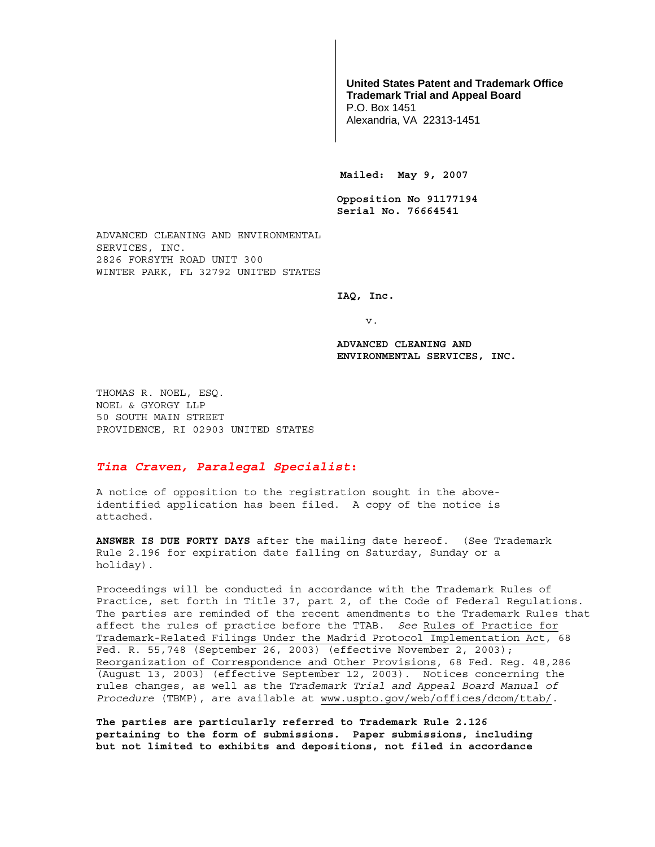## **United States Patent and Trademark Office Trademark Trial and Appeal Board**

P.O. Box 1451 Alexandria, VA 22313-1451

**Mailed: May 9, 2007** 

**Opposition No 91177194 Serial No. 76664541** 

ADVANCED CLEANING AND ENVIRONMENTAL SERVICES, INC. 2826 FORSYTH ROAD UNIT 300 WINTER PARK, FL 32792 UNITED STATES

**IAQ, Inc.** 

v.

**ADVANCED CLEANING AND ENVIRONMENTAL SERVICES, INC.** 

THOMAS R. NOEL, ESQ. NOEL & GYORGY LLP 50 SOUTH MAIN STREET PROVIDENCE, RI 02903 UNITED STATES

## *Tina Craven, Paralegal Specialist***:**

A notice of opposition to the registration sought in the aboveidentified application has been filed. A copy of the notice is attached.

**ANSWER IS DUE FORTY DAYS** after the mailing date hereof. (See Trademark Rule 2.196 for expiration date falling on Saturday, Sunday or a holiday).

Proceedings will be conducted in accordance with the Trademark Rules of Practice, set forth in Title 37, part 2, of the Code of Federal Regulations. The parties are reminded of the recent amendments to the Trademark Rules that affect the rules of practice before the TTAB. *See* Rules of Practice for Trademark-Related Filings Under the Madrid Protocol Implementation Act, 68 Fed. R. 55,748 (September 26, 2003) (effective November 2, 2003); Reorganization of Correspondence and Other Provisions, 68 Fed. Reg. 48,286 (August 13, 2003) (effective September 12, 2003). Notices concerning the rules changes, as well as the *Trademark Trial and Appeal Board Manual of Procedure* (TBMP), are available at www.uspto.gov/web/offices/dcom/ttab/.

**The parties are particularly referred to Trademark Rule 2.126 pertaining to the form of submissions. Paper submissions, including but not limited to exhibits and depositions, not filed in accordance**